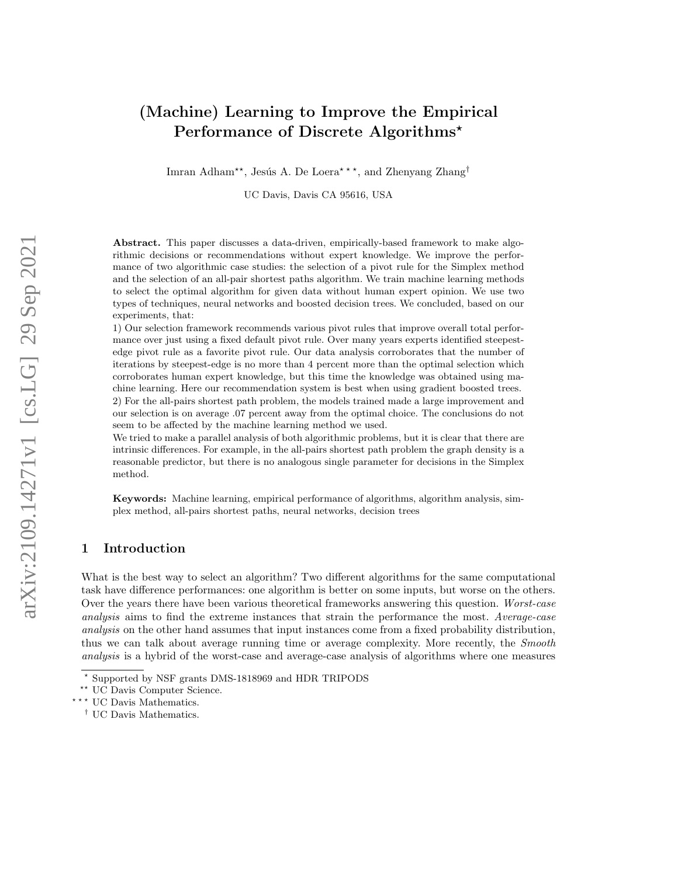# (Machine) Learning to Improve the Empirical Performance of Discrete Algorithms\*

Imran Adham<sup>\*\*</sup>, Jesús A. De Loera<sup>\*\*\*</sup>, and Zhenyang Zhang<sup>†</sup>

UC Davis, Davis CA 95616, USA

Abstract. This paper discusses a data-driven, empirically-based framework to make algorithmic decisions or recommendations without expert knowledge. We improve the performance of two algorithmic case studies: the selection of a pivot rule for the Simplex method and the selection of an all-pair shortest paths algorithm. We train machine learning methods to select the optimal algorithm for given data without human expert opinion. We use two types of techniques, neural networks and boosted decision trees. We concluded, based on our experiments, that:

1) Our selection framework recommends various pivot rules that improve overall total performance over just using a fixed default pivot rule. Over many years experts identified steepestedge pivot rule as a favorite pivot rule. Our data analysis corroborates that the number of iterations by steepest-edge is no more than 4 percent more than the optimal selection which corroborates human expert knowledge, but this time the knowledge was obtained using machine learning. Here our recommendation system is best when using gradient boosted trees. 2) For the all-pairs shortest path problem, the models trained made a large improvement and our selection is on average .07 percent away from the optimal choice. The conclusions do not seem to be affected by the machine learning method we used.

We tried to make a parallel analysis of both algorithmic problems, but it is clear that there are intrinsic differences. For example, in the all-pairs shortest path problem the graph density is a reasonable predictor, but there is no analogous single parameter for decisions in the Simplex method.

Keywords: Machine learning, empirical performance of algorithms, algorithm analysis, simplex method, all-pairs shortest paths, neural networks, decision trees

# 1 Introduction

What is the best way to select an algorithm? Two different algorithms for the same computational task have difference performances: one algorithm is better on some inputs, but worse on the others. Over the years there have been various theoretical frameworks answering this question. Worst-case analysis aims to find the extreme instances that strain the performance the most. Average-case analysis on the other hand assumes that input instances come from a fixed probability distribution, thus we can talk about average running time or average complexity. More recently, the *Smooth* analysis is a hybrid of the worst-case and average-case analysis of algorithms where one measures

<sup>?</sup> Supported by NSF grants DMS-1818969 and HDR TRIPODS

<sup>\*\*</sup> UC Davis Computer Science.

<sup>\*\*\*</sup> UC Davis Mathematics.

<sup>†</sup> UC Davis Mathematics.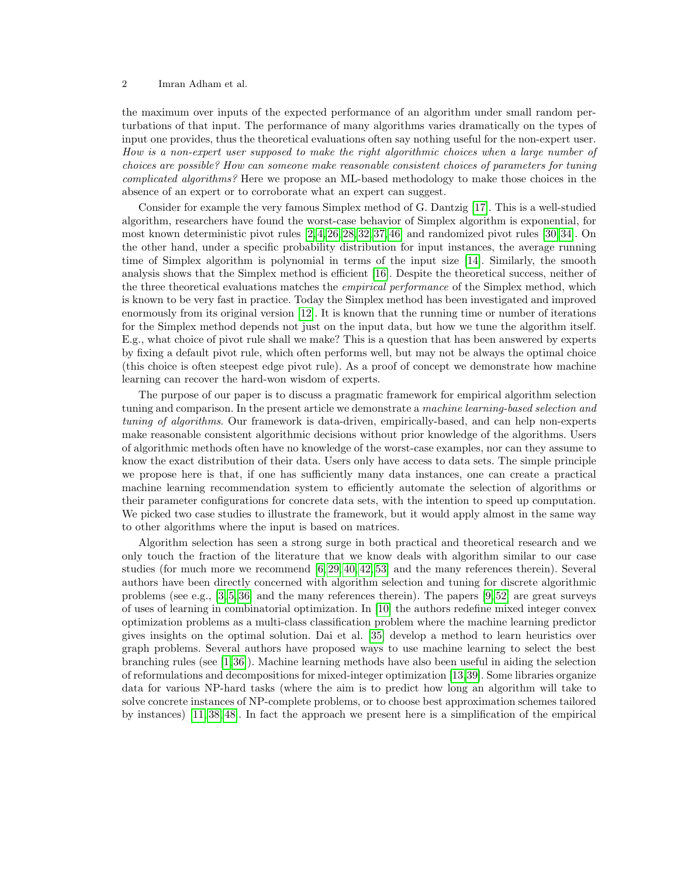the maximum over inputs of the expected performance of an algorithm under small random perturbations of that input. The performance of many algorithms varies dramatically on the types of input one provides, thus the theoretical evaluations often say nothing useful for the non-expert user. How is a non-expert user supposed to make the right algorithmic choices when a large number of choices are possible? How can someone make reasonable consistent choices of parameters for tuning complicated algorithms? Here we propose an ML-based methodology to make those choices in the absence of an expert or to corroborate what an expert can suggest.

Consider for example the very famous Simplex method of G. Dantzig [\[17\]](#page-14-0). This is a well-studied algorithm, researchers have found the worst-case behavior of Simplex algorithm is exponential, for most known deterministic pivot rules [\[2,](#page-14-1) [4,](#page-14-2) [26,](#page-15-0) [28,](#page-15-1) [32,](#page-15-2) [37,](#page-15-3) [46\]](#page-16-0) and randomized pivot rules [\[30,](#page-15-4) [34\]](#page-15-5). On the other hand, under a specific probability distribution for input instances, the average running time of Simplex algorithm is polynomial in terms of the input size [\[14\]](#page-14-3). Similarly, the smooth analysis shows that the Simplex method is efficient [\[16\]](#page-14-4). Despite the theoretical success, neither of the three theoretical evaluations matches the *empirical performance* of the Simplex method, which is known to be very fast in practice. Today the Simplex method has been investigated and improved enormously from its original version [\[12\]](#page-14-5). It is known that the running time or number of iterations for the Simplex method depends not just on the input data, but how we tune the algorithm itself. E.g., what choice of pivot rule shall we make? This is a question that has been answered by experts by fixing a default pivot rule, which often performs well, but may not be always the optimal choice (this choice is often steepest edge pivot rule). As a proof of concept we demonstrate how machine learning can recover the hard-won wisdom of experts.

The purpose of our paper is to discuss a pragmatic framework for empirical algorithm selection tuning and comparison. In the present article we demonstrate a machine learning-based selection and tuning of algorithms. Our framework is data-driven, empirically-based, and can help non-experts make reasonable consistent algorithmic decisions without prior knowledge of the algorithms. Users of algorithmic methods often have no knowledge of the worst-case examples, nor can they assume to know the exact distribution of their data. Users only have access to data sets. The simple principle we propose here is that, if one has sufficiently many data instances, one can create a practical machine learning recommendation system to efficiently automate the selection of algorithms or their parameter configurations for concrete data sets, with the intention to speed up computation. We picked two case studies to illustrate the framework, but it would apply almost in the same way to other algorithms where the input is based on matrices.

Algorithm selection has seen a strong surge in both practical and theoretical research and we only touch the fraction of the literature that we know deals with algorithm similar to our case studies (for much more we recommend [\[6,](#page-14-6) [29,](#page-15-6) [40,](#page-15-7) [42,](#page-15-8) [53\]](#page-16-1) and the many references therein). Several authors have been directly concerned with algorithm selection and tuning for discrete algorithmic problems (see e.g., [\[3,](#page-14-7) [5,](#page-14-8) [36\]](#page-15-9) and the many references therein). The papers [\[9,](#page-14-9) [52\]](#page-16-2) are great surveys of uses of learning in combinatorial optimization. In [\[10\]](#page-14-10) the authors redefine mixed integer convex optimization problems as a multi-class classification problem where the machine learning predictor gives insights on the optimal solution. Dai et al. [\[35\]](#page-15-10) develop a method to learn heuristics over graph problems. Several authors have proposed ways to use machine learning to select the best branching rules (see [\[1,](#page-14-11)[36\]](#page-15-9)). Machine learning methods have also been useful in aiding the selection of reformulations and decompositions for mixed-integer optimization [\[13,](#page-14-12)[39\]](#page-15-11). Some libraries organize data for various NP-hard tasks (where the aim is to predict how long an algorithm will take to solve concrete instances of NP-complete problems, or to choose best approximation schemes tailored by instances) [\[11,](#page-14-13) [38,](#page-15-12) [48\]](#page-16-3). In fact the approach we present here is a simplification of the empirical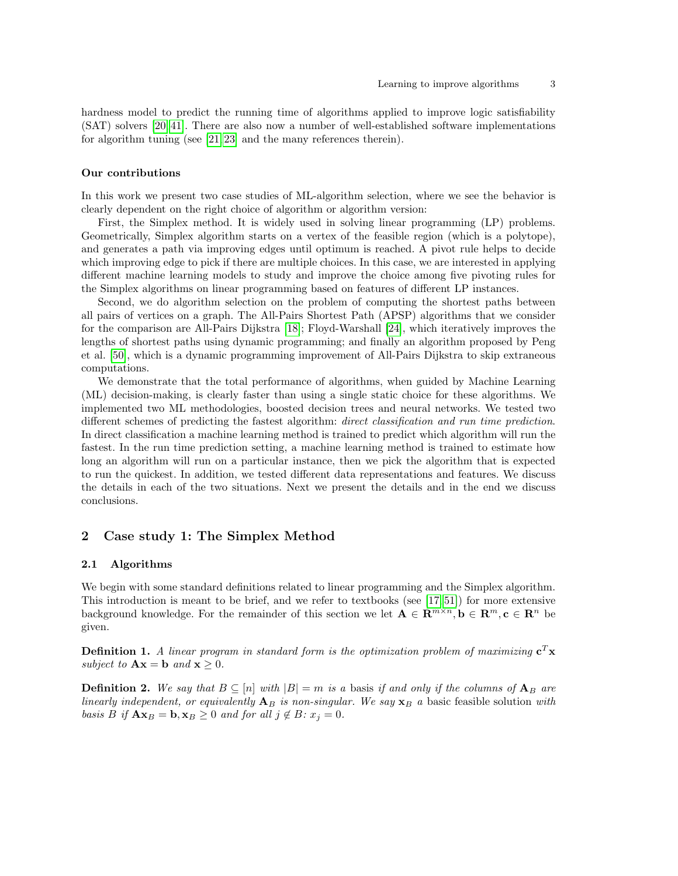hardness model to predict the running time of algorithms applied to improve logic satisfiability (SAT) solvers [\[20,](#page-14-14) [41\]](#page-15-13). There are also now a number of well-established software implementations for algorithm tuning (see [\[21,](#page-15-14) [23\]](#page-15-15) and the many references therein).

#### Our contributions

In this work we present two case studies of ML-algorithm selection, where we see the behavior is clearly dependent on the right choice of algorithm or algorithm version:

First, the Simplex method. It is widely used in solving linear programming (LP) problems. Geometrically, Simplex algorithm starts on a vertex of the feasible region (which is a polytope), and generates a path via improving edges until optimum is reached. A pivot rule helps to decide which improving edge to pick if there are multiple choices. In this case, we are interested in applying different machine learning models to study and improve the choice among five pivoting rules for the Simplex algorithms on linear programming based on features of different LP instances.

Second, we do algorithm selection on the problem of computing the shortest paths between all pairs of vertices on a graph. The All-Pairs Shortest Path (APSP) algorithms that we consider for the comparison are All-Pairs Dijkstra [\[18\]](#page-14-15); Floyd-Warshall [\[24\]](#page-15-16), which iteratively improves the lengths of shortest paths using dynamic programming; and finally an algorithm proposed by Peng et al. [\[50\]](#page-16-4), which is a dynamic programming improvement of All-Pairs Dijkstra to skip extraneous computations.

We demonstrate that the total performance of algorithms, when guided by Machine Learning (ML) decision-making, is clearly faster than using a single static choice for these algorithms. We implemented two ML methodologies, boosted decision trees and neural networks. We tested two different schemes of predicting the fastest algorithm: *direct classification and run time prediction*. In direct classification a machine learning method is trained to predict which algorithm will run the fastest. In the run time prediction setting, a machine learning method is trained to estimate how long an algorithm will run on a particular instance, then we pick the algorithm that is expected to run the quickest. In addition, we tested different data representations and features. We discuss the details in each of the two situations. Next we present the details and in the end we discuss conclusions.

# 2 Case study 1: The Simplex Method

#### 2.1 Algorithms

We begin with some standard definitions related to linear programming and the Simplex algorithm. This introduction is meant to be brief, and we refer to textbooks (see [\[17,](#page-14-0) [51\]](#page-16-5)) for more extensive background knowledge. For the remainder of this section we let  $\mathbf{A} \in \mathbb{R}^{m \times n}$ ,  $\mathbf{b} \in \mathbb{R}^m$ ,  $\mathbf{c} \in \mathbb{R}^n$  be given.

**Definition 1.** A linear program in standard form is the optimization problem of maximizing  $c^T x$ subject to  $\mathbf{A}\mathbf{x} = \mathbf{b}$  and  $\mathbf{x} \geq 0$ .

**Definition 2.** We say that  $B \subseteq [n]$  with  $|B| = m$  is a basis if and only if the columns of  $A_B$  are linearly independent, or equivalently  $A_B$  is non-singular. We say  $x_B$  a basic feasible solution with basis B if  $\mathbf{A}\mathbf{x}_B = \mathbf{b}, \mathbf{x}_B \geq 0$  and for all  $j \notin B$ :  $x_j = 0$ .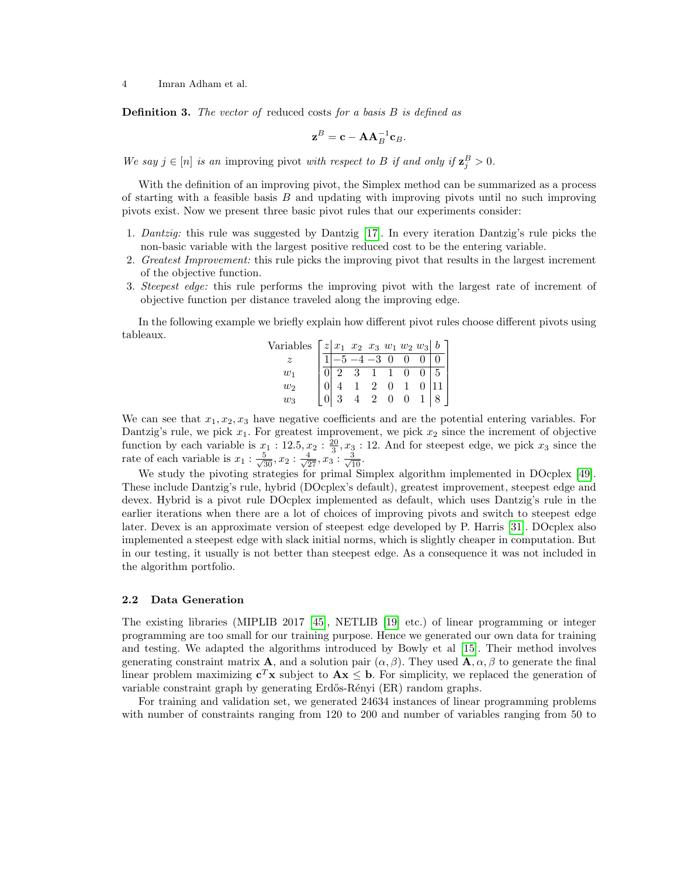**Definition 3.** The vector of reduced costs for a basis  $B$  is defined as

$$
\mathbf{z}^B = \mathbf{c} - \mathbf{A} \mathbf{A}_B^{-1} \mathbf{c}_B.
$$

We say  $j \in [n]$  is an improving pivot with respect to B if and only if  $\mathbf{z}_{j}^{B} > 0$ .

With the definition of an improving pivot, the Simplex method can be summarized as a process of starting with a feasible basis  $B$  and updating with improving pivots until no such improving pivots exist. Now we present three basic pivot rules that our experiments consider:

- 1. Dantzig: this rule was suggested by Dantzig [\[17\]](#page-14-0). In every iteration Dantzig's rule picks the non-basic variable with the largest positive reduced cost to be the entering variable.
- 2. Greatest Improvement: this rule picks the improving pivot that results in the largest increment of the objective function.
- 3. Steepest edge: this rule performs the improving pivot with the largest rate of increment of objective function per distance traveled along the improving edge.

In the following example we briefly explain how different pivot rules choose different pivots using tableaux.  $\bar{V}$ 

| ariables $\lceil z \rceil x_1 \ x_2 \ x_3 \ w_1 \ w_2 \ w_3 \rceil b$ |                     |                              |            |                |                  |     |  |
|-----------------------------------------------------------------------|---------------------|------------------------------|------------|----------------|------------------|-----|--|
|                                                                       | $\sqrt{-5-4-3}$ 0 0 |                              |            |                |                  |     |  |
| $w_1$                                                                 | $2^{\circ}$         | $3\quad \overline{1\quad 1}$ |            |                |                  | . 5 |  |
| $w_2$                                                                 |                     | $1\quad 2$                   |            | $\overline{0}$ |                  |     |  |
| $w_3$                                                                 |                     |                              | $2\quad 0$ |                | $\boldsymbol{0}$ |     |  |

We can see that  $x_1, x_2, x_3$  have negative coefficients and are the potential entering variables. For Dantzig's rule, we pick  $x_1$ . For greatest improvement, we pick  $x_2$  since the increment of objective function by each variable is  $x_1 : 12.5, x_2 : \frac{20}{3}, x_3 : 12$ . And for steepest edge, we pick  $x_3$  since the rate of each variable is  $x_1 : \frac{5}{\sqrt{30}}, x_2 : \frac{4}{\sqrt{27}}, x_3 : \frac{3}{\sqrt{10}}.$ 

We study the pivoting strategies for primal Simplex algorithm implemented in DOcplex [\[49\]](#page-16-6). These include Dantzig's rule, hybrid (DOcplex's default), greatest improvement, steepest edge and devex. Hybrid is a pivot rule DOcplex implemented as default, which uses Dantzig's rule in the earlier iterations when there are a lot of choices of improving pivots and switch to steepest edge later. Devex is an approximate version of steepest edge developed by P. Harris [\[31\]](#page-15-17). DOcplex also implemented a steepest edge with slack initial norms, which is slightly cheaper in computation. But in our testing, it usually is not better than steepest edge. As a consequence it was not included in the algorithm portfolio.

## 2.2 Data Generation

The existing libraries (MIPLIB 2017 [\[45\]](#page-16-7), NETLIB [\[19\]](#page-14-16) etc.) of linear programming or integer programming are too small for our training purpose. Hence we generated our own data for training and testing. We adapted the algorithms introduced by Bowly et al [\[15\]](#page-14-17). Their method involves generating constraint matrix **A**, and a solution pair  $(\alpha, \beta)$ . They used **A**,  $\alpha, \beta$  to generate the final linear problem maximizing  $c^T x$  subject to  $Ax \leq b$ . For simplicity, we replaced the generation of variable constraint graph by generating Erdős-Rényi (ER) random graphs.

For training and validation set, we generated 24634 instances of linear programming problems with number of constraints ranging from 120 to 200 and number of variables ranging from 50 to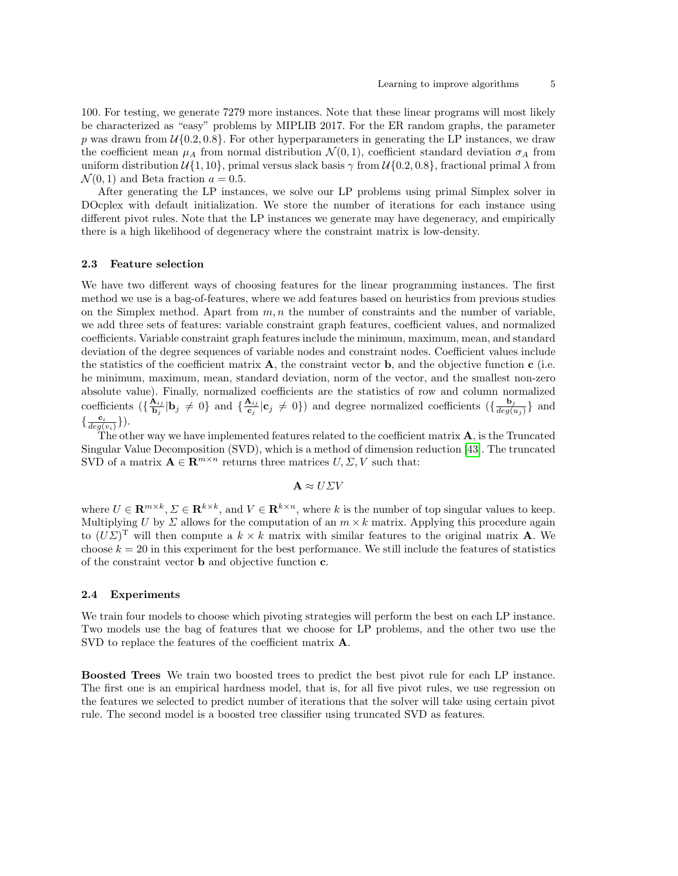100. For testing, we generate 7279 more instances. Note that these linear programs will most likely be characterized as "easy" problems by MIPLIB 2017. For the ER random graphs, the parameter p was drawn from  $\mathcal{U}{0.2, 0.8}$ . For other hyperparameters in generating the LP instances, we draw the coefficient mean  $\mu_A$  from normal distribution  $\mathcal{N}(0,1)$ , coefficient standard deviation  $\sigma_A$  from uniform distribution  $\mathcal{U}{1, 10}$ , primal versus slack basis  $\gamma$  from  $\mathcal{U}{0.2, 0.8}$ , fractional primal  $\lambda$  from  $\mathcal{N}(0, 1)$  and Beta fraction  $a = 0.5$ .

After generating the LP instances, we solve our LP problems using primal Simplex solver in DOcplex with default initialization. We store the number of iterations for each instance using different pivot rules. Note that the LP instances we generate may have degeneracy, and empirically there is a high likelihood of degeneracy where the constraint matrix is low-density.

#### 2.3 Feature selection

We have two different ways of choosing features for the linear programming instances. The first method we use is a bag-of-features, where we add features based on heuristics from previous studies on the Simplex method. Apart from  $m, n$  the number of constraints and the number of variable, we add three sets of features: variable constraint graph features, coefficient values, and normalized coefficients. Variable constraint graph features include the minimum, maximum, mean, and standard deviation of the degree sequences of variable nodes and constraint nodes. Coefficient values include the statistics of the coefficient matrix  $\bf{A}$ , the constraint vector  $\bf{b}$ , and the objective function  $\bf{c}$  (i.e. he minimum, maximum, mean, standard deviation, norm of the vector, and the smallest non-zero absolute value). Finally, normalized coefficients are the statistics of row and column normalized coefficients  $\left(\frac{\mathbf{A}_{ij}}{\mathbf{b}_{ij}}\right)$  $\frac{\mathbf{A}_{ij}}{\mathbf{b}_j}|\mathbf{b}_j \neq 0\}$  and  $\{\frac{\mathbf{A}_{ij}}{\mathbf{c}_j}\}$  $\frac{\mathbf{A}_{ij}}{\mathbf{c}_j}|\mathbf{c}_j \neq 0$ ) and degree normalized coefficients  $(\{\frac{\mathbf{b}_j}{deg(i)}\}_{j=1}^N)$  $\frac{\mathbf{b}_j}{deg(u_j)}\}$  and  $\{\frac{\mathbf{c}_i}{deg(v_i)}\}\big).$ 

The other way we have implemented features related to the coefficient matrix  $A$ , is the Truncated Singular Value Decomposition (SVD), which is a method of dimension reduction [\[43\]](#page-15-18). The truncated SVD of a matrix  $\mathbf{A} \in \mathbb{R}^{m \times n}$  returns three matrices  $U, \Sigma, V$  such that:

$$
\mathbf{A} \approx U \Sigma V
$$

where  $U \in \mathbf{R}^{m \times k}, \Sigma \in \mathbf{R}^{k \times k}$ , and  $V \in \mathbf{R}^{k \times n}$ , where k is the number of top singular values to keep. Multiplying U by  $\Sigma$  allows for the computation of an  $m \times k$  matrix. Applying this procedure again to  $(U\Sigma)^{\mathrm{T}}$  will then compute a  $k \times k$  matrix with similar features to the original matrix **A**. We choose  $k = 20$  in this experiment for the best performance. We still include the features of statistics of the constraint vector  ${\bf b}$  and objective function  ${\bf c}.$ 

#### 2.4 Experiments

We train four models to choose which pivoting strategies will perform the best on each LP instance. Two models use the bag of features that we choose for LP problems, and the other two use the SVD to replace the features of the coefficient matrix **A**.

Boosted Trees We train two boosted trees to predict the best pivot rule for each LP instance. The first one is an empirical hardness model, that is, for all five pivot rules, we use regression on the features we selected to predict number of iterations that the solver will take using certain pivot rule. The second model is a boosted tree classifier using truncated SVD as features.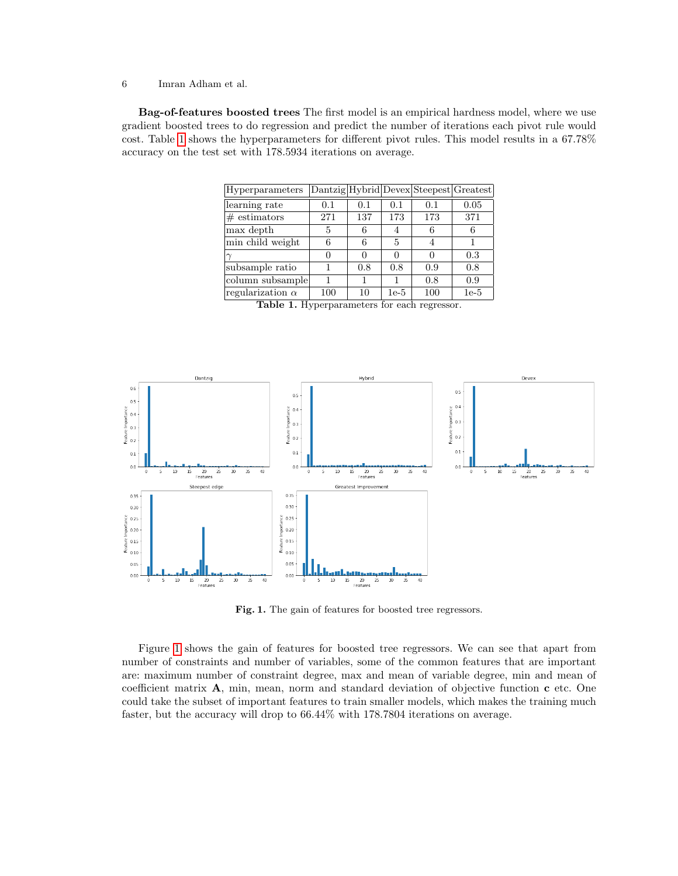Bag-of-features boosted trees The first model is an empirical hardness model, where we use gradient boosted trees to do regression and predict the number of iterations each pivot rule would cost. Table [1](#page-5-0) shows the hyperparameters for different pivot rules. This model results in a 67.78% accuracy on the test set with 178.5934 iterations on average.

| Hyperparameters         |     |     |                |     | Dantzig Hybrid Devex Steepest Greatest |
|-------------------------|-----|-----|----------------|-----|----------------------------------------|
| learning rate           | 0.1 | 0.1 | 0.1            | 0.1 | 0.05                                   |
| $#$ estimators          | 271 | 137 | 173            | 173 | 371                                    |
| max depth               | 5   | 6   |                | 6   | 6                                      |
| min child weight        | 6   | 6   | $\overline{5}$ |     |                                        |
|                         |     |     |                |     | 0.3                                    |
| subsample ratio         |     | 0.8 | 0.8            | 0.9 | 0.8                                    |
| column subsample        |     |     |                | 0.8 | 0.9                                    |
| regularization $\alpha$ | 100 | 10  | $1e-5$         | 100 | $1e-5$                                 |

<span id="page-5-0"></span>Table 1. Hyperparameters for each regressor.



<span id="page-5-1"></span>Fig. 1. The gain of features for boosted tree regressors.

Figure [1](#page-5-1) shows the gain of features for boosted tree regressors. We can see that apart from number of constraints and number of variables, some of the common features that are important are: maximum number of constraint degree, max and mean of variable degree, min and mean of coefficient matrix  $A$ , min, mean, norm and standard deviation of objective function  $c$  etc. One could take the subset of important features to train smaller models, which makes the training much faster, but the accuracy will drop to 66.44% with 178.7804 iterations on average.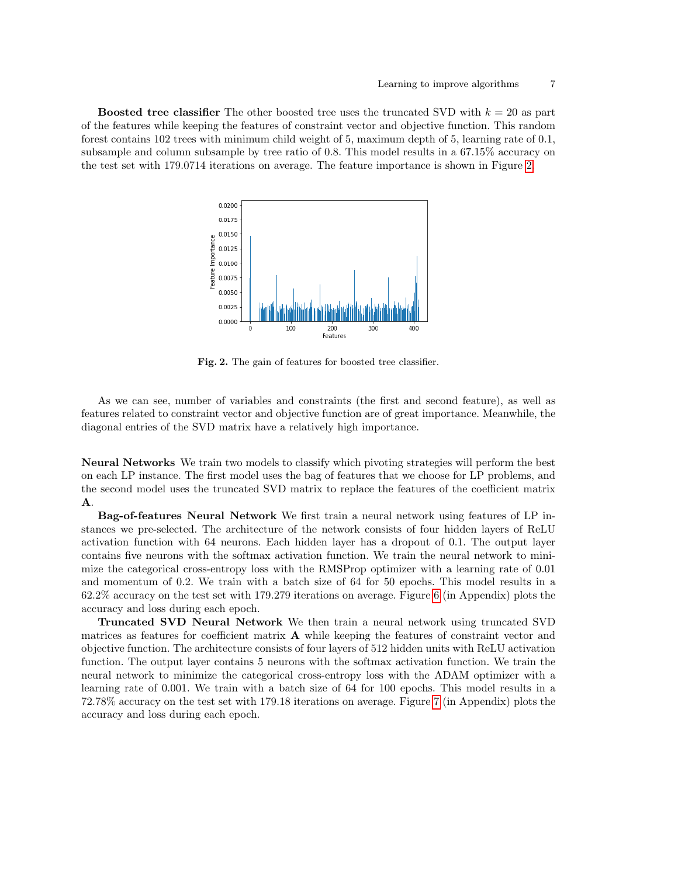**Boosted tree classifier** The other boosted tree uses the truncated SVD with  $k = 20$  as part of the features while keeping the features of constraint vector and objective function. This random forest contains 102 trees with minimum child weight of 5, maximum depth of 5, learning rate of 0.1, subsample and column subsample by tree ratio of 0.8. This model results in a 67.15% accuracy on the test set with 179.0714 iterations on average. The feature importance is shown in Figure [2.](#page-6-0)



<span id="page-6-0"></span>Fig. 2. The gain of features for boosted tree classifier.

As we can see, number of variables and constraints (the first and second feature), as well as features related to constraint vector and objective function are of great importance. Meanwhile, the diagonal entries of the SVD matrix have a relatively high importance.

Neural Networks We train two models to classify which pivoting strategies will perform the best on each LP instance. The first model uses the bag of features that we choose for LP problems, and the second model uses the truncated SVD matrix to replace the features of the coefficient matrix A.

Bag-of-features Neural Network We first train a neural network using features of LP instances we pre-selected. The architecture of the network consists of four hidden layers of ReLU activation function with 64 neurons. Each hidden layer has a dropout of 0.1. The output layer contains five neurons with the softmax activation function. We train the neural network to minimize the categorical cross-entropy loss with the RMSProp optimizer with a learning rate of 0.01 and momentum of 0.2. We train with a batch size of 64 for 50 epochs. This model results in a 62.2% accuracy on the test set with 179.279 iterations on average. Figure [6](#page-16-8) (in Appendix) plots the accuracy and loss during each epoch.

Truncated SVD Neural Network We then train a neural network using truncated SVD matrices as features for coefficient matrix  $\bf{A}$  while keeping the features of constraint vector and objective function. The architecture consists of four layers of 512 hidden units with ReLU activation function. The output layer contains 5 neurons with the softmax activation function. We train the neural network to minimize the categorical cross-entropy loss with the ADAM optimizer with a learning rate of 0.001. We train with a batch size of 64 for 100 epochs. This model results in a 72.78% accuracy on the test set with 179.18 iterations on average. Figure [7](#page-16-9) (in Appendix) plots the accuracy and loss during each epoch.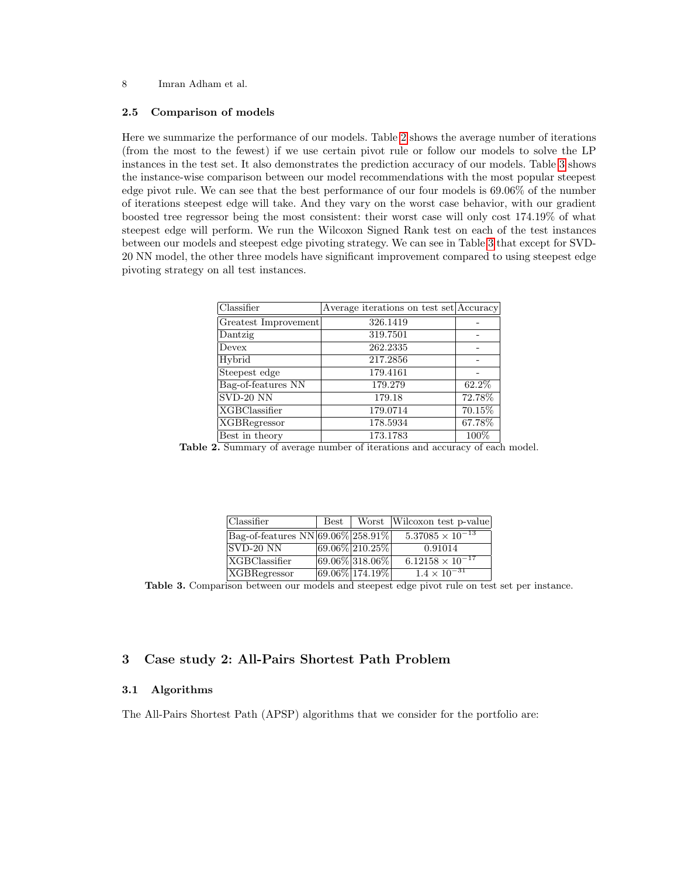#### 2.5 Comparison of models

Here we summarize the performance of our models. Table [2](#page-7-0) shows the average number of iterations (from the most to the fewest) if we use certain pivot rule or follow our models to solve the LP instances in the test set. It also demonstrates the prediction accuracy of our models. Table [3](#page-7-1) shows the instance-wise comparison between our model recommendations with the most popular steepest edge pivot rule. We can see that the best performance of our four models is 69.06% of the number of iterations steepest edge will take. And they vary on the worst case behavior, with our gradient boosted tree regressor being the most consistent: their worst case will only cost 174.19% of what steepest edge will perform. We run the Wilcoxon Signed Rank test on each of the test instances between our models and steepest edge pivoting strategy. We can see in Table [3](#page-7-1) that except for SVD-20 NN model, the other three models have significant improvement compared to using steepest edge pivoting strategy on all test instances.

| Classifier           | Average iterations on test set Accuracy |         |
|----------------------|-----------------------------------------|---------|
| Greatest Improvement | 326.1419                                |         |
| Dantzig              | 319.7501                                |         |
| Devex                | 262.2335                                |         |
| Hybrid               | 217.2856                                |         |
| Steepest edge        | 179.4161                                |         |
| Bag-of-features NN   | 179.279                                 | 62.2%   |
| $SVD-20$ NN          | 179.18                                  | 72.78%  |
| <b>XGBClassifier</b> | 179.0714                                | 70.15%  |
| <b>XGBRegressor</b>  | 178.5934                                | 67.78%  |
| Best in theory       | 173.1783                                | $100\%$ |

<span id="page-7-0"></span>Table 2. Summary of average number of iterations and accuracy of each model.

| Classifier                                                      | Best |                   | Worst Wilcoxon test p-value |
|-----------------------------------------------------------------|------|-------------------|-----------------------------|
| $\sqrt{\text{Bag-of-features NN} \cdot 69.06\% \cdot 258.91\%}$ |      |                   | $5.37085 \times 10^{-13}$   |
| $ SVD-20 NN$                                                    |      | $69.06\%$ 210.25% | 0.91014                     |
| <b>XGBClassifier</b>                                            |      | $69.06\%$ 318.06% | $6.12158 \times 10^{-17}$   |
| <b>XGBRegressor</b>                                             |      | $69.06\%$ 174.19% | $1.4 \times 10^{-31}$       |

<span id="page-7-1"></span>Table 3. Comparison between our models and steepest edge pivot rule on test set per instance.

# 3 Case study 2: All-Pairs Shortest Path Problem

## 3.1 Algorithms

The All-Pairs Shortest Path (APSP) algorithms that we consider for the portfolio are: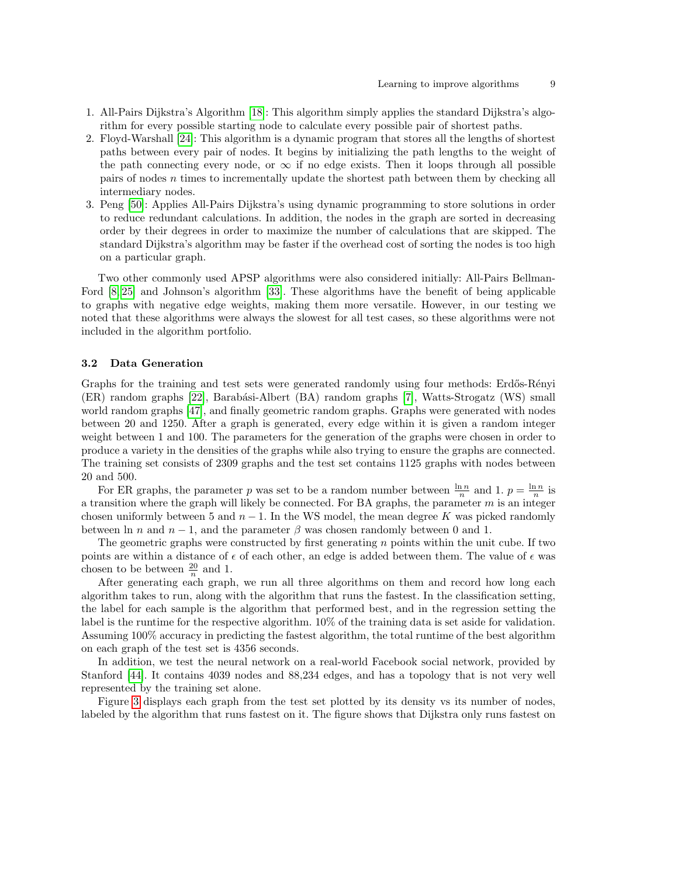- 1. All-Pairs Dijkstra's Algorithm [\[18\]](#page-14-15): This algorithm simply applies the standard Dijkstra's algorithm for every possible starting node to calculate every possible pair of shortest paths.
- 2. Floyd-Warshall [\[24\]](#page-15-16): This algorithm is a dynamic program that stores all the lengths of shortest paths between every pair of nodes. It begins by initializing the path lengths to the weight of the path connecting every node, or  $\infty$  if no edge exists. Then it loops through all possible pairs of nodes n times to incrementally update the shortest path between them by checking all intermediary nodes.
- 3. Peng [\[50\]](#page-16-4): Applies All-Pairs Dijkstra's using dynamic programming to store solutions in order to reduce redundant calculations. In addition, the nodes in the graph are sorted in decreasing order by their degrees in order to maximize the number of calculations that are skipped. The standard Dijkstra's algorithm may be faster if the overhead cost of sorting the nodes is too high on a particular graph.

Two other commonly used APSP algorithms were also considered initially: All-Pairs Bellman-Ford [\[8,](#page-14-18) [25\]](#page-15-19) and Johnson's algorithm [\[33\]](#page-15-20). These algorithms have the benefit of being applicable to graphs with negative edge weights, making them more versatile. However, in our testing we noted that these algorithms were always the slowest for all test cases, so these algorithms were not included in the algorithm portfolio.

## 3.2 Data Generation

Graphs for the training and test sets were generated randomly using four methods: Erdős-Rényi (ER) random graphs [\[22\]](#page-15-21), Barabási-Albert (BA) random graphs [\[7\]](#page-14-19), Watts-Strogatz (WS) small world random graphs [\[47\]](#page-16-10), and finally geometric random graphs. Graphs were generated with nodes between 20 and 1250. After a graph is generated, every edge within it is given a random integer weight between 1 and 100. The parameters for the generation of the graphs were chosen in order to produce a variety in the densities of the graphs while also trying to ensure the graphs are connected. The training set consists of 2309 graphs and the test set contains 1125 graphs with nodes between 20 and 500.

For ER graphs, the parameter p was set to be a random number between  $\frac{\ln n}{n}$  and 1.  $p = \frac{\ln n}{n}$  is a transition where the graph will likely be connected. For BA graphs, the parameter  $m$  is an integer chosen uniformly between 5 and  $n-1$ . In the WS model, the mean degree K was picked randomly between ln n and  $n-1$ , and the parameter  $\beta$  was chosen randomly between 0 and 1.

The geometric graphs were constructed by first generating  $n$  points within the unit cube. If two points are within a distance of  $\epsilon$  of each other, an edge is added between them. The value of  $\epsilon$  was chosen to be between  $\frac{20}{n}$  and 1.

After generating each graph, we run all three algorithms on them and record how long each algorithm takes to run, along with the algorithm that runs the fastest. In the classification setting, the label for each sample is the algorithm that performed best, and in the regression setting the label is the runtime for the respective algorithm. 10% of the training data is set aside for validation. Assuming 100% accuracy in predicting the fastest algorithm, the total runtime of the best algorithm on each graph of the test set is 4356 seconds.

In addition, we test the neural network on a real-world Facebook social network, provided by Stanford [\[44\]](#page-15-22). It contains 4039 nodes and 88,234 edges, and has a topology that is not very well represented by the training set alone.

Figure [3](#page-9-0) displays each graph from the test set plotted by its density vs its number of nodes, labeled by the algorithm that runs fastest on it. The figure shows that Dijkstra only runs fastest on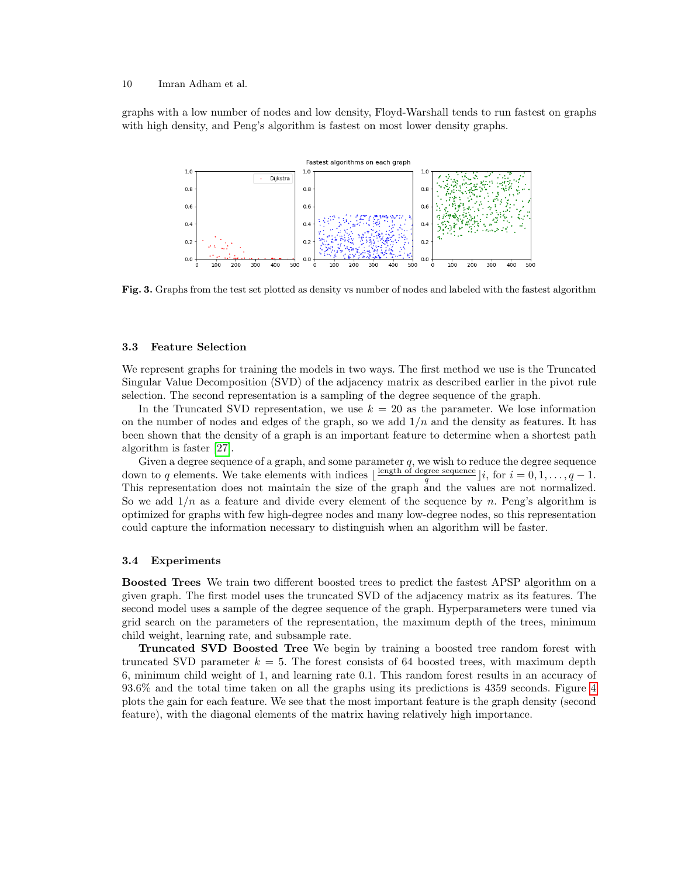graphs with a low number of nodes and low density, Floyd-Warshall tends to run fastest on graphs with high density, and Peng's algorithm is fastest on most lower density graphs.



<span id="page-9-0"></span>Fig. 3. Graphs from the test set plotted as density vs number of nodes and labeled with the fastest algorithm

## 3.3 Feature Selection

We represent graphs for training the models in two ways. The first method we use is the Truncated Singular Value Decomposition (SVD) of the adjacency matrix as described earlier in the pivot rule selection. The second representation is a sampling of the degree sequence of the graph.

In the Truncated SVD representation, we use  $k = 20$  as the parameter. We lose information on the number of nodes and edges of the graph, so we add  $1/n$  and the density as features. It has been shown that the density of a graph is an important feature to determine when a shortest path algorithm is faster [\[27\]](#page-15-23).

Given a degree sequence of a graph, and some parameter  $q$ , we wish to reduce the degree sequence down to q elements. We take elements with indices  $\lfloor \frac{\text{length of degree sequence}}{q} \rfloor i$ , for  $i = 0, 1, \ldots, q - 1$ . This representation does not maintain the size of the graph and the values are not normalized. So we add  $1/n$  as a feature and divide every element of the sequence by n. Peng's algorithm is optimized for graphs with few high-degree nodes and many low-degree nodes, so this representation could capture the information necessary to distinguish when an algorithm will be faster.

## 3.4 Experiments

Boosted Trees We train two different boosted trees to predict the fastest APSP algorithm on a given graph. The first model uses the truncated SVD of the adjacency matrix as its features. The second model uses a sample of the degree sequence of the graph. Hyperparameters were tuned via grid search on the parameters of the representation, the maximum depth of the trees, minimum child weight, learning rate, and subsample rate.

Truncated SVD Boosted Tree We begin by training a boosted tree random forest with truncated SVD parameter  $k = 5$ . The forest consists of 64 boosted trees, with maximum depth 6, minimum child weight of 1, and learning rate 0.1. This random forest results in an accuracy of 93.6% and the total time taken on all the graphs using its predictions is 4359 seconds. Figure [4](#page-10-0) plots the gain for each feature. We see that the most important feature is the graph density (second feature), with the diagonal elements of the matrix having relatively high importance.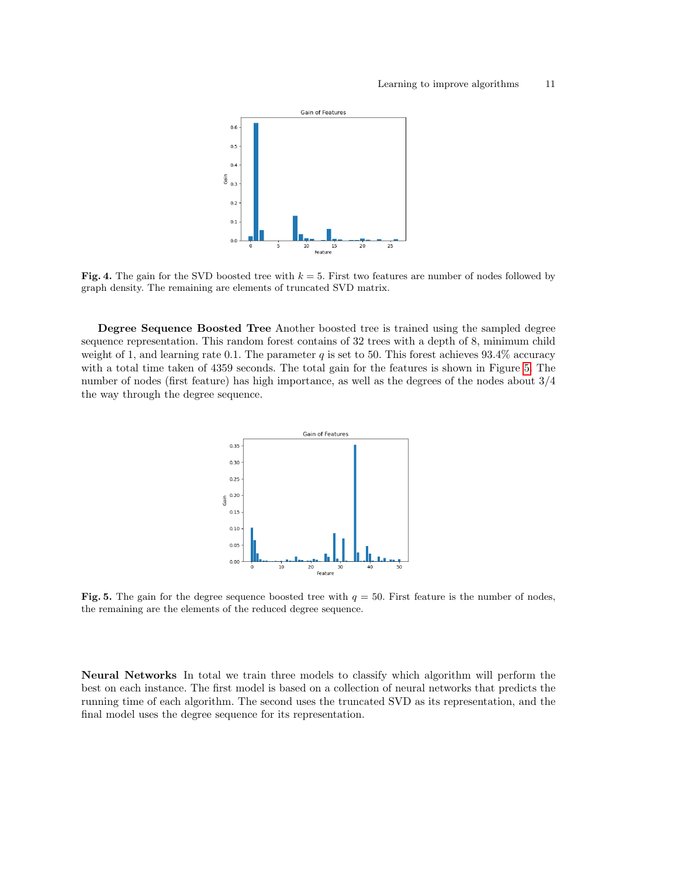

<span id="page-10-0"></span>**Fig. 4.** The gain for the SVD boosted tree with  $k = 5$ . First two features are number of nodes followed by graph density. The remaining are elements of truncated SVD matrix.

Degree Sequence Boosted Tree Another boosted tree is trained using the sampled degree sequence representation. This random forest contains of 32 trees with a depth of 8, minimum child weight of 1, and learning rate 0.1. The parameter  $q$  is set to 50. This forest achieves 93.4% accuracy with a total time taken of 4359 seconds. The total gain for the features is shown in Figure [5.](#page-10-1) The number of nodes (first feature) has high importance, as well as the degrees of the nodes about 3/4 the way through the degree sequence.



<span id="page-10-1"></span>Fig. 5. The gain for the degree sequence boosted tree with  $q = 50$ . First feature is the number of nodes, the remaining are the elements of the reduced degree sequence.

Neural Networks In total we train three models to classify which algorithm will perform the best on each instance. The first model is based on a collection of neural networks that predicts the running time of each algorithm. The second uses the truncated SVD as its representation, and the final model uses the degree sequence for its representation.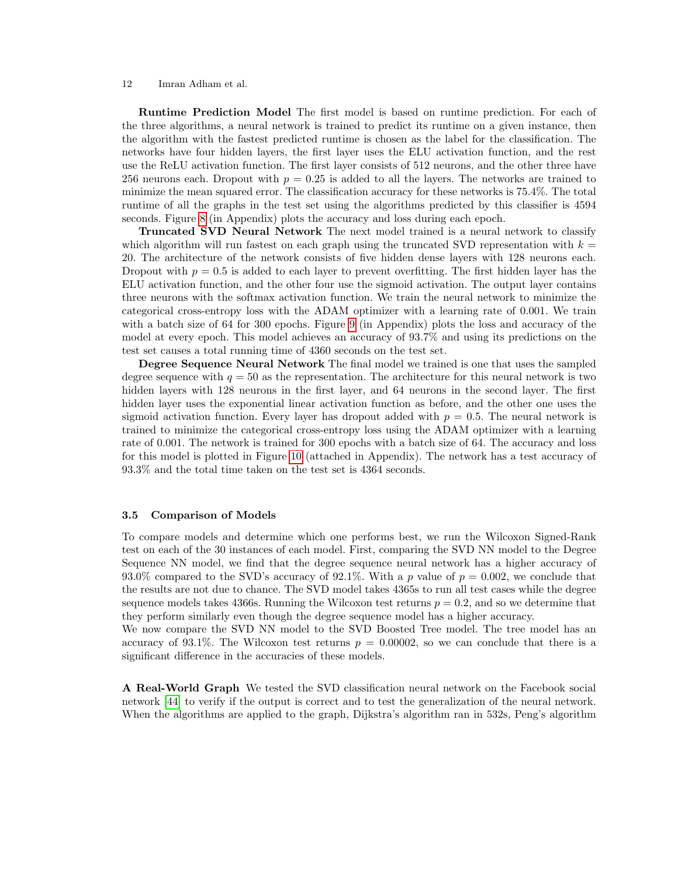Runtime Prediction Model The first model is based on runtime prediction. For each of the three algorithms, a neural network is trained to predict its runtime on a given instance, then the algorithm with the fastest predicted runtime is chosen as the label for the classification. The networks have four hidden layers, the first layer uses the ELU activation function, and the rest use the ReLU activation function. The first layer consists of 512 neurons, and the other three have 256 neurons each. Dropout with  $p = 0.25$  is added to all the layers. The networks are trained to minimize the mean squared error. The classification accuracy for these networks is 75.4%. The total runtime of all the graphs in the test set using the algorithms predicted by this classifier is 4594 seconds. Figure [8](#page-17-0) (in Appendix) plots the accuracy and loss during each epoch.

Truncated SVD Neural Network The next model trained is a neural network to classify which algorithm will run fastest on each graph using the truncated SVD representation with  $k =$ 20. The architecture of the network consists of five hidden dense layers with 128 neurons each. Dropout with  $p = 0.5$  is added to each layer to prevent overfitting. The first hidden layer has the ELU activation function, and the other four use the sigmoid activation. The output layer contains three neurons with the softmax activation function. We train the neural network to minimize the categorical cross-entropy loss with the ADAM optimizer with a learning rate of 0.001. We train with a batch size of 64 for 300 epochs. Figure [9](#page-17-1) (in Appendix) plots the loss and accuracy of the model at every epoch. This model achieves an accuracy of 93.7% and using its predictions on the test set causes a total running time of 4360 seconds on the test set.

Degree Sequence Neural Network The final model we trained is one that uses the sampled degree sequence with  $q = 50$  as the representation. The architecture for this neural network is two hidden layers with 128 neurons in the first layer, and 64 neurons in the second layer. The first hidden layer uses the exponential linear activation function as before, and the other one uses the sigmoid activation function. Every layer has dropout added with  $p = 0.5$ . The neural network is trained to minimize the categorical cross-entropy loss using the ADAM optimizer with a learning rate of 0.001. The network is trained for 300 epochs with a batch size of 64. The accuracy and loss for this model is plotted in Figure [10](#page-18-0) (attached in Appendix). The network has a test accuracy of 93.3% and the total time taken on the test set is 4364 seconds.

## 3.5 Comparison of Models

To compare models and determine which one performs best, we run the Wilcoxon Signed-Rank test on each of the 30 instances of each model. First, comparing the SVD NN model to the Degree Sequence NN model, we find that the degree sequence neural network has a higher accuracy of 93.0% compared to the SVD's accuracy of 92.1%. With a p value of  $p = 0.002$ , we conclude that the results are not due to chance. The SVD model takes 4365s to run all test cases while the degree sequence models takes 4366s. Running the Wilcoxon test returns  $p = 0.2$ , and so we determine that they perform similarly even though the degree sequence model has a higher accuracy.

We now compare the SVD NN model to the SVD Boosted Tree model. The tree model has an accuracy of 93.1%. The Wilcoxon test returns  $p = 0.00002$ , so we can conclude that there is a significant difference in the accuracies of these models.

A Real-World Graph We tested the SVD classification neural network on the Facebook social network [\[44\]](#page-15-22) to verify if the output is correct and to test the generalization of the neural network. When the algorithms are applied to the graph, Dijkstra's algorithm ran in 532s, Peng's algorithm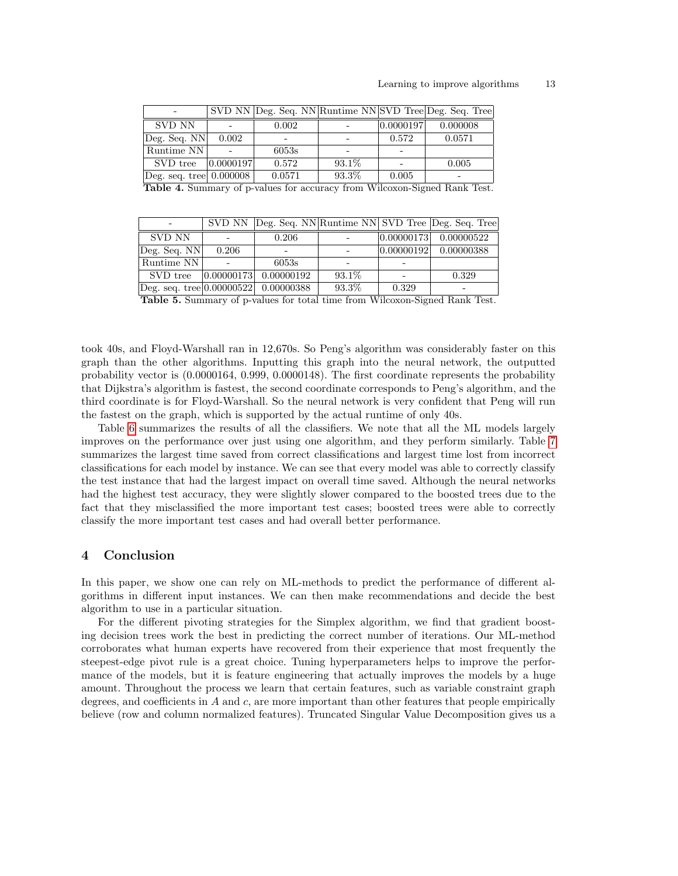| $\overline{\phantom{0}}$                        |           |        |        |           | SVD NN Deg. Seq. NN Runtime NN SVD Tree Deg. Seq. Tree |
|-------------------------------------------------|-----------|--------|--------|-----------|--------------------------------------------------------|
| SVD NN                                          |           | 0.002  |        | 0.0000197 | 0.000008                                               |
| $\vert$ Deg. Seq. NN $\vert$                    | 0.002     |        |        | 0.572     | 0.0571                                                 |
| Runtime NN                                      |           | 6053s  |        |           |                                                        |
| SVD tree                                        | 0.0000197 | 0.572  | 93.1\% |           | 0.005                                                  |
| $\vert$ Deg. seq. tree $\vert$ 0.000008 $\vert$ |           | 0.0571 | 93.3%  | 0.005     |                                                        |
|                                                 |           |        |        |           | וחותו יחידות מידודים את המוחד                          |

Table 4. Summary of p-values for accuracy from Wilcoxon-Signed Rank Test.

|                                                   |       |                                  |        |            | SVD NN Deg. Seq. NN Runtime NN SVD Tree Deg. Seq. Tree |
|---------------------------------------------------|-------|----------------------------------|--------|------------|--------------------------------------------------------|
| SVD NN                                            |       | 0.206                            |        |            | $ 0.00000173 $ 0.00000522                              |
| Deg. Seq. NN                                      | 0.206 |                                  |        | 0.00000192 | 0.00000388                                             |
| Runtime NN                                        |       | 6053s                            |        |            |                                                        |
|                                                   |       | SVD tree  0.00000173  0.00000192 | 93.1\% |            | 0.329                                                  |
| $\text{Deg. seq. tree}   0.00000522   0.00000388$ |       |                                  | 93.3%  | 0.329      |                                                        |

Table 5. Summary of p-values for total time from Wilcoxon-Signed Rank Test.

took 40s, and Floyd-Warshall ran in 12,670s. So Peng's algorithm was considerably faster on this graph than the other algorithms. Inputting this graph into the neural network, the outputted probability vector is (0.0000164, 0.999, 0.0000148). The first coordinate represents the probability that Dijkstra's algorithm is fastest, the second coordinate corresponds to Peng's algorithm, and the third coordinate is for Floyd-Warshall. So the neural network is very confident that Peng will run the fastest on the graph, which is supported by the actual runtime of only 40s.

Table [6](#page-13-0) summarizes the results of all the classifiers. We note that all the ML models largely improves on the performance over just using one algorithm, and they perform similarly. Table [7](#page-13-1) summarizes the largest time saved from correct classifications and largest time lost from incorrect classifications for each model by instance. We can see that every model was able to correctly classify the test instance that had the largest impact on overall time saved. Although the neural networks had the highest test accuracy, they were slightly slower compared to the boosted trees due to the fact that they misclassified the more important test cases; boosted trees were able to correctly classify the more important test cases and had overall better performance.

## 4 Conclusion

In this paper, we show one can rely on ML-methods to predict the performance of different algorithms in different input instances. We can then make recommendations and decide the best algorithm to use in a particular situation.

For the different pivoting strategies for the Simplex algorithm, we find that gradient boosting decision trees work the best in predicting the correct number of iterations. Our ML-method corroborates what human experts have recovered from their experience that most frequently the steepest-edge pivot rule is a great choice. Tuning hyperparameters helps to improve the performance of the models, but it is feature engineering that actually improves the models by a huge amount. Throughout the process we learn that certain features, such as variable constraint graph degrees, and coefficients in  $A$  and  $c$ , are more important than other features that people empirically believe (row and column normalized features). Truncated Singular Value Decomposition gives us a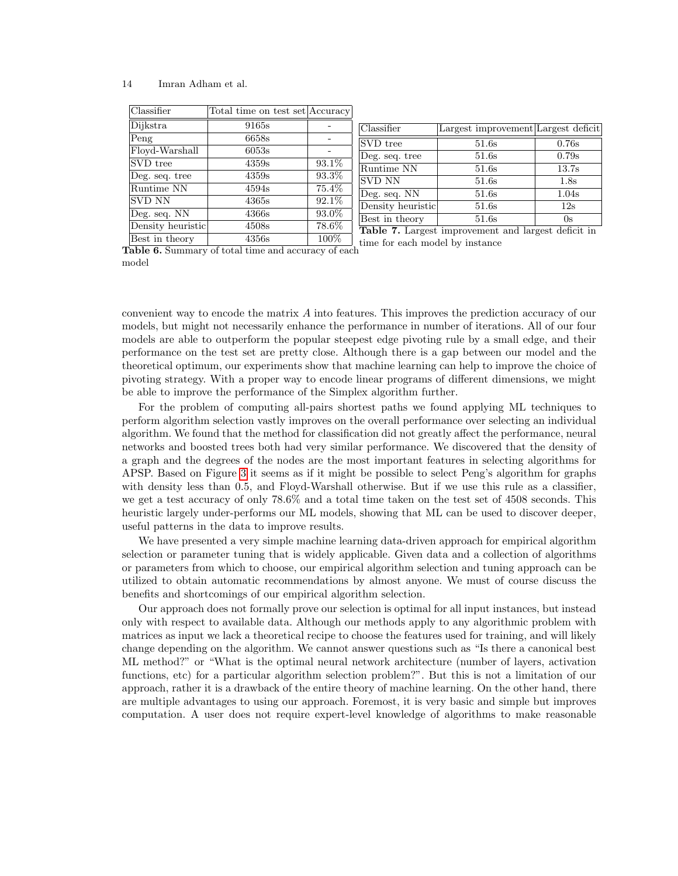| Classifier        | Total time on test set Accuracy |                     |
|-------------------|---------------------------------|---------------------|
| Dijkstra          | 9165s                           |                     |
| Peng              | 6658s                           |                     |
| Floyd-Warshall    | 6053s                           |                     |
| SVD tree          | 4359s                           | $93.\overline{1\%}$ |
| Deg. seq. tree    | 4359s                           | 93.3%               |
| Runtime NN        | 4594s                           | 75.4%               |
| <b>SVD NN</b>     | 4365s                           | 92.1%               |
| Deg. seq. NN      | 4366s                           | 93.0%               |
| Density heuristic | 4508s                           | 78.6%               |
| Best in theory    | 4356s                           | 100%                |

<span id="page-13-1"></span>Classifier Largest improvement Largest deficit SVD tree 51.6s 0.76s Deg. seq. tree  $\vert$  51.6s  $\vert$  0.79s Runtime NN  $51.6s$  13.7s  $SVD NN$   $51.6s$   $1.8s$ Deg. seq. NN 51.6s 1.04s Density heuristic 51.6s 12s Best in theory 51.6s 0s Table 7. Largest improvement and largest deficit in

<span id="page-13-0"></span>Table 6. Summary of total time and accuracy of each model time for each model by instance

convenient way to encode the matrix A into features. This improves the prediction accuracy of our models, but might not necessarily enhance the performance in number of iterations. All of our four models are able to outperform the popular steepest edge pivoting rule by a small edge, and their performance on the test set are pretty close. Although there is a gap between our model and the theoretical optimum, our experiments show that machine learning can help to improve the choice of pivoting strategy. With a proper way to encode linear programs of different dimensions, we might be able to improve the performance of the Simplex algorithm further.

For the problem of computing all-pairs shortest paths we found applying ML techniques to perform algorithm selection vastly improves on the overall performance over selecting an individual algorithm. We found that the method for classification did not greatly affect the performance, neural networks and boosted trees both had very similar performance. We discovered that the density of a graph and the degrees of the nodes are the most important features in selecting algorithms for APSP. Based on Figure [3](#page-9-0) it seems as if it might be possible to select Peng's algorithm for graphs with density less than 0.5, and Floyd-Warshall otherwise. But if we use this rule as a classifier, we get a test accuracy of only 78.6% and a total time taken on the test set of 4508 seconds. This heuristic largely under-performs our ML models, showing that ML can be used to discover deeper, useful patterns in the data to improve results.

We have presented a very simple machine learning data-driven approach for empirical algorithm selection or parameter tuning that is widely applicable. Given data and a collection of algorithms or parameters from which to choose, our empirical algorithm selection and tuning approach can be utilized to obtain automatic recommendations by almost anyone. We must of course discuss the benefits and shortcomings of our empirical algorithm selection.

Our approach does not formally prove our selection is optimal for all input instances, but instead only with respect to available data. Although our methods apply to any algorithmic problem with matrices as input we lack a theoretical recipe to choose the features used for training, and will likely change depending on the algorithm. We cannot answer questions such as "Is there a canonical best ML method?" or "What is the optimal neural network architecture (number of layers, activation functions, etc) for a particular algorithm selection problem?". But this is not a limitation of our approach, rather it is a drawback of the entire theory of machine learning. On the other hand, there are multiple advantages to using our approach. Foremost, it is very basic and simple but improves computation. A user does not require expert-level knowledge of algorithms to make reasonable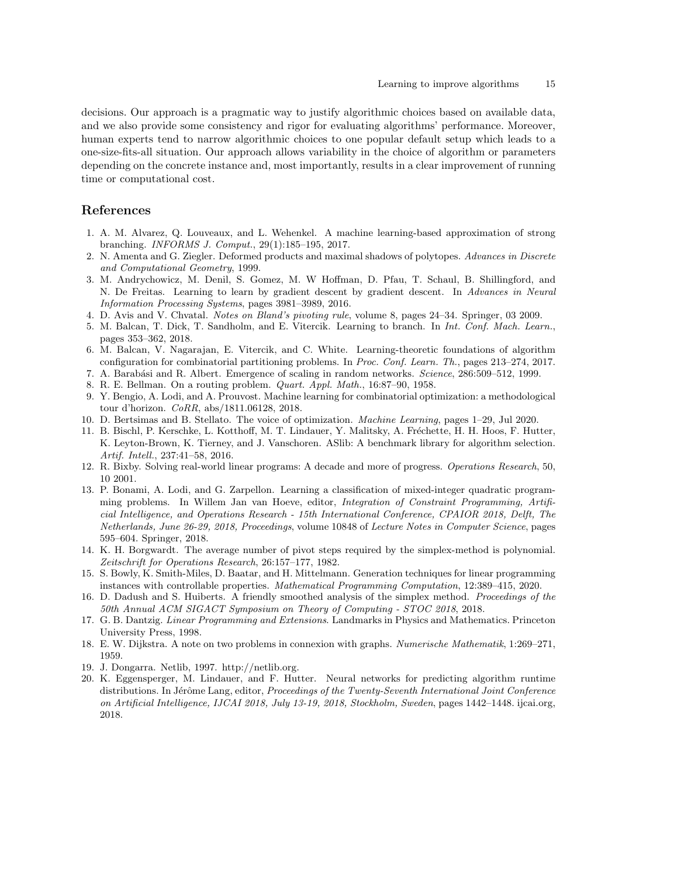decisions. Our approach is a pragmatic way to justify algorithmic choices based on available data, and we also provide some consistency and rigor for evaluating algorithms' performance. Moreover, human experts tend to narrow algorithmic choices to one popular default setup which leads to a one-size-fits-all situation. Our approach allows variability in the choice of algorithm or parameters depending on the concrete instance and, most importantly, results in a clear improvement of running time or computational cost.

# References

- <span id="page-14-11"></span>1. A. M. Alvarez, Q. Louveaux, and L. Wehenkel. A machine learning-based approximation of strong branching. INFORMS J. Comput., 29(1):185–195, 2017.
- <span id="page-14-1"></span>2. N. Amenta and G. Ziegler. Deformed products and maximal shadows of polytopes. Advances in Discrete and Computational Geometry, 1999.
- <span id="page-14-7"></span>3. M. Andrychowicz, M. Denil, S. Gomez, M. W Hoffman, D. Pfau, T. Schaul, B. Shillingford, and N. De Freitas. Learning to learn by gradient descent by gradient descent. In Advances in Neural Information Processing Systems, pages 3981–3989, 2016.
- <span id="page-14-2"></span>4. D. Avis and V. Chvatal. Notes on Bland's pivoting rule, volume 8, pages 24–34. Springer, 03 2009.
- <span id="page-14-8"></span>5. M. Balcan, T. Dick, T. Sandholm, and E. Vitercik. Learning to branch. In Int. Conf. Mach. Learn., pages 353–362, 2018.
- <span id="page-14-6"></span>6. M. Balcan, V. Nagarajan, E. Vitercik, and C. White. Learning-theoretic foundations of algorithm configuration for combinatorial partitioning problems. In Proc. Conf. Learn. Th., pages 213–274, 2017.
- <span id="page-14-19"></span>7. A. Barabási and R. Albert. Emergence of scaling in random networks. Science, 286:509–512, 1999.
- <span id="page-14-18"></span>8. R. E. Bellman. On a routing problem. Quart. Appl. Math., 16:87–90, 1958.
- <span id="page-14-9"></span>9. Y. Bengio, A. Lodi, and A. Prouvost. Machine learning for combinatorial optimization: a methodological tour d'horizon. CoRR, abs/1811.06128, 2018.
- <span id="page-14-10"></span>10. D. Bertsimas and B. Stellato. The voice of optimization. Machine Learning, pages 1–29, Jul 2020.
- <span id="page-14-13"></span>11. B. Bischl, P. Kerschke, L. Kotthoff, M. T. Lindauer, Y. Malitsky, A. Fréchette, H. H. Hoos, F. Hutter, K. Leyton-Brown, K. Tierney, and J. Vanschoren. ASlib: A benchmark library for algorithm selection. Artif. Intell., 237:41–58, 2016.
- <span id="page-14-5"></span>12. R. Bixby. Solving real-world linear programs: A decade and more of progress. Operations Research, 50, 10 2001.
- <span id="page-14-12"></span>13. P. Bonami, A. Lodi, and G. Zarpellon. Learning a classification of mixed-integer quadratic programming problems. In Willem Jan van Hoeve, editor, Integration of Constraint Programming, Artificial Intelligence, and Operations Research - 15th International Conference, CPAIOR 2018, Delft, The Netherlands, June 26-29, 2018, Proceedings, volume 10848 of Lecture Notes in Computer Science, pages 595–604. Springer, 2018.
- <span id="page-14-3"></span>14. K. H. Borgwardt. The average number of pivot steps required by the simplex-method is polynomial. Zeitschrift for Operations Research, 26:157–177, 1982.
- <span id="page-14-17"></span>15. S. Bowly, K. Smith-Miles, D. Baatar, and H. Mittelmann. Generation techniques for linear programming instances with controllable properties. Mathematical Programming Computation, 12:389–415, 2020.
- <span id="page-14-4"></span>16. D. Dadush and S. Huiberts. A friendly smoothed analysis of the simplex method. Proceedings of the 50th Annual ACM SIGACT Symposium on Theory of Computing - STOC 2018, 2018.
- <span id="page-14-0"></span>17. G. B. Dantzig. Linear Programming and Extensions. Landmarks in Physics and Mathematics. Princeton University Press, 1998.
- <span id="page-14-15"></span>18. E. W. Dijkstra. A note on two problems in connexion with graphs. Numerische Mathematik, 1:269–271, 1959.
- <span id="page-14-16"></span>19. J. Dongarra. Netlib, 1997. http://netlib.org.
- <span id="page-14-14"></span>20. K. Eggensperger, M. Lindauer, and F. Hutter. Neural networks for predicting algorithm runtime distributions. In Jérôme Lang, editor, Proceedings of the Twenty-Seventh International Joint Conference on Artificial Intelligence, IJCAI 2018, July 13-19, 2018, Stockholm, Sweden, pages 1442–1448. ijcai.org, 2018.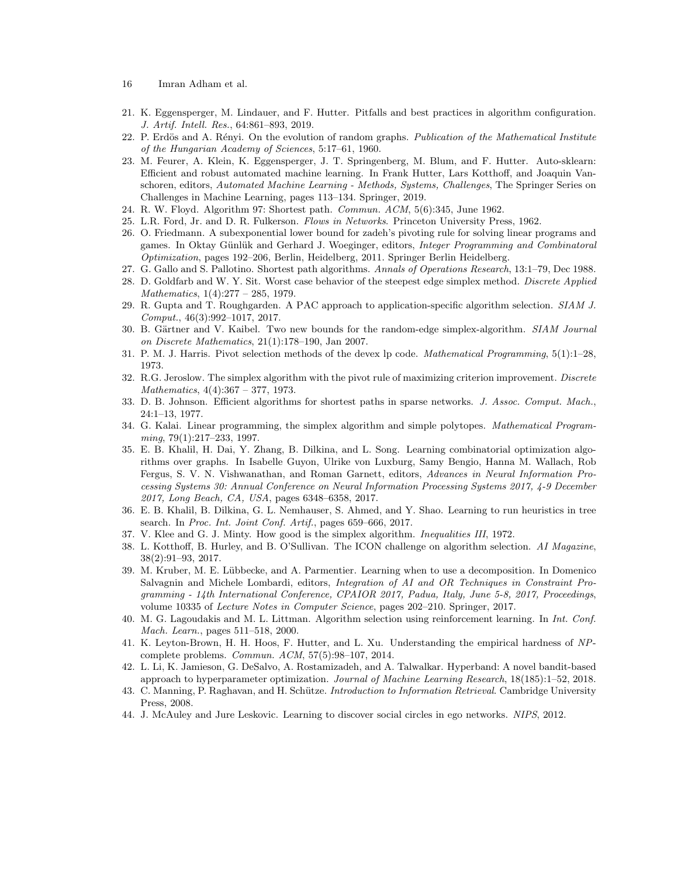- 16 Imran Adham et al.
- <span id="page-15-14"></span>21. K. Eggensperger, M. Lindauer, and F. Hutter. Pitfalls and best practices in algorithm configuration. J. Artif. Intell. Res., 64:861–893, 2019.
- <span id="page-15-21"></span>22. P. Erdös and A. Rényi. On the evolution of random graphs. Publication of the Mathematical Institute of the Hungarian Academy of Sciences, 5:17–61, 1960.
- <span id="page-15-15"></span>23. M. Feurer, A. Klein, K. Eggensperger, J. T. Springenberg, M. Blum, and F. Hutter. Auto-sklearn: Efficient and robust automated machine learning. In Frank Hutter, Lars Kotthoff, and Joaquin Vanschoren, editors, Automated Machine Learning - Methods, Systems, Challenges, The Springer Series on Challenges in Machine Learning, pages 113–134. Springer, 2019.
- <span id="page-15-16"></span>24. R. W. Floyd. Algorithm 97: Shortest path. Commun. ACM, 5(6):345, June 1962.
- <span id="page-15-19"></span>25. L.R. Ford, Jr. and D. R. Fulkerson. Flows in Networks. Princeton University Press, 1962.
- <span id="page-15-0"></span>26. O. Friedmann. A subexponential lower bound for zadeh's pivoting rule for solving linear programs and games. In Oktay Günlük and Gerhard J. Woeginger, editors, *Integer Programming and Combinatoral* Optimization, pages 192–206, Berlin, Heidelberg, 2011. Springer Berlin Heidelberg.
- <span id="page-15-23"></span>27. G. Gallo and S. Pallotino. Shortest path algorithms. Annals of Operations Research, 13:1–79, Dec 1988.
- <span id="page-15-1"></span>28. D. Goldfarb and W. Y. Sit. Worst case behavior of the steepest edge simplex method. Discrete Applied Mathematics, 1(4):277 – 285, 1979.
- <span id="page-15-6"></span>29. R. Gupta and T. Roughgarden. A PAC approach to application-specific algorithm selection. SIAM J. Comput., 46(3):992–1017, 2017.
- <span id="page-15-4"></span>30. B. Gärtner and V. Kaibel. Two new bounds for the random-edge simplex-algorithm. SIAM Journal on Discrete Mathematics, 21(1):178–190, Jan 2007.
- <span id="page-15-17"></span>31. P. M. J. Harris. Pivot selection methods of the devex lp code. Mathematical Programming, 5(1):1–28, 1973.
- <span id="page-15-2"></span>32. R.G. Jeroslow. The simplex algorithm with the pivot rule of maximizing criterion improvement. Discrete Mathematics, 4(4):367 – 377, 1973.
- <span id="page-15-20"></span>33. D. B. Johnson. Efficient algorithms for shortest paths in sparse networks. J. Assoc. Comput. Mach., 24:1–13, 1977.
- <span id="page-15-5"></span>34. G. Kalai. Linear programming, the simplex algorithm and simple polytopes. Mathematical Programming, 79(1):217–233, 1997.
- <span id="page-15-10"></span>35. E. B. Khalil, H. Dai, Y. Zhang, B. Dilkina, and L. Song. Learning combinatorial optimization algorithms over graphs. In Isabelle Guyon, Ulrike von Luxburg, Samy Bengio, Hanna M. Wallach, Rob Fergus, S. V. N. Vishwanathan, and Roman Garnett, editors, Advances in Neural Information Processing Systems 30: Annual Conference on Neural Information Processing Systems 2017, 4-9 December 2017, Long Beach, CA, USA, pages 6348–6358, 2017.
- <span id="page-15-9"></span>36. E. B. Khalil, B. Dilkina, G. L. Nemhauser, S. Ahmed, and Y. Shao. Learning to run heuristics in tree search. In Proc. Int. Joint Conf. Artif., pages 659–666, 2017.
- <span id="page-15-3"></span>37. V. Klee and G. J. Minty. How good is the simplex algorithm. Inequalities III, 1972.
- <span id="page-15-12"></span>38. L. Kotthoff, B. Hurley, and B. O'Sullivan. The ICON challenge on algorithm selection. AI Magazine, 38(2):91–93, 2017.
- <span id="page-15-11"></span>39. M. Kruber, M. E. L¨ubbecke, and A. Parmentier. Learning when to use a decomposition. In Domenico Salvagnin and Michele Lombardi, editors, Integration of AI and OR Techniques in Constraint Programming - 14th International Conference, CPAIOR 2017, Padua, Italy, June 5-8, 2017, Proceedings, volume 10335 of Lecture Notes in Computer Science, pages 202–210. Springer, 2017.
- <span id="page-15-7"></span>40. M. G. Lagoudakis and M. L. Littman. Algorithm selection using reinforcement learning. In Int. Conf. Mach. Learn., pages 511–518, 2000.
- <span id="page-15-13"></span>41. K. Leyton-Brown, H. H. Hoos, F. Hutter, and L. Xu. Understanding the empirical hardness of NPcomplete problems. Commun. ACM, 57(5):98–107, 2014.
- <span id="page-15-8"></span>42. L. Li, K. Jamieson, G. DeSalvo, A. Rostamizadeh, and A. Talwalkar. Hyperband: A novel bandit-based approach to hyperparameter optimization. Journal of Machine Learning Research, 18(185):1–52, 2018.
- <span id="page-15-18"></span>43. C. Manning, P. Raghavan, and H. Schütze. Introduction to Information Retrieval. Cambridge University Press, 2008.
- <span id="page-15-22"></span>44. J. McAuley and Jure Leskovic. Learning to discover social circles in ego networks. NIPS, 2012.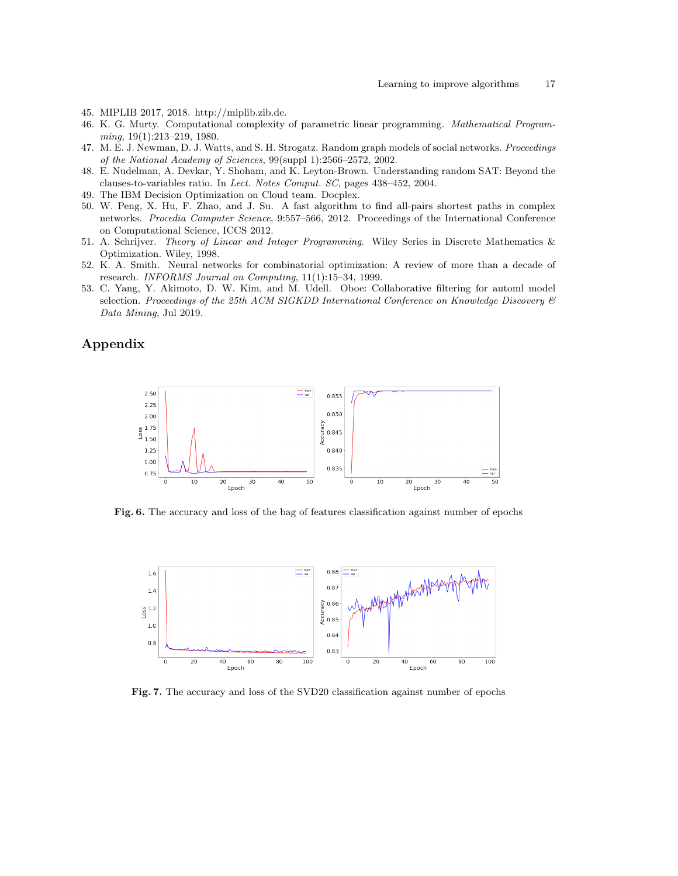- <span id="page-16-7"></span>45. MIPLIB 2017, 2018. http://miplib.zib.de.
- <span id="page-16-0"></span>46. K. G. Murty. Computational complexity of parametric linear programming. Mathematical Programming, 19(1):213–219, 1980.
- <span id="page-16-10"></span>47. M. E. J. Newman, D. J. Watts, and S. H. Strogatz. Random graph models of social networks. Proceedings of the National Academy of Sciences, 99(suppl 1):2566–2572, 2002.
- <span id="page-16-3"></span>48. E. Nudelman, A. Devkar, Y. Shoham, and K. Leyton-Brown. Understanding random SAT: Beyond the clauses-to-variables ratio. In Lect. Notes Comput. SC, pages 438–452, 2004.
- <span id="page-16-6"></span>49. The IBM Decision Optimization on Cloud team. Docplex.
- <span id="page-16-4"></span>50. W. Peng, X. Hu, F. Zhao, and J. Su. A fast algorithm to find all-pairs shortest paths in complex networks. Procedia Computer Science, 9:557–566, 2012. Proceedings of the International Conference on Computational Science, ICCS 2012.
- <span id="page-16-5"></span>51. A. Schrijver. Theory of Linear and Integer Programming. Wiley Series in Discrete Mathematics & Optimization. Wiley, 1998.
- <span id="page-16-2"></span>52. K. A. Smith. Neural networks for combinatorial optimization: A review of more than a decade of research. INFORMS Journal on Computing, 11(1):15–34, 1999.
- <span id="page-16-1"></span>53. C. Yang, Y. Akimoto, D. W. Kim, and M. Udell. Oboe: Collaborative filtering for automl model selection. Proceedings of the 25th ACM SIGKDD International Conference on Knowledge Discovery  $\mathcal{B}$ Data Mining, Jul 2019.

# Appendix



<span id="page-16-8"></span>Fig. 6. The accuracy and loss of the bag of features classification against number of epochs



<span id="page-16-9"></span>Fig. 7. The accuracy and loss of the SVD20 classification against number of epochs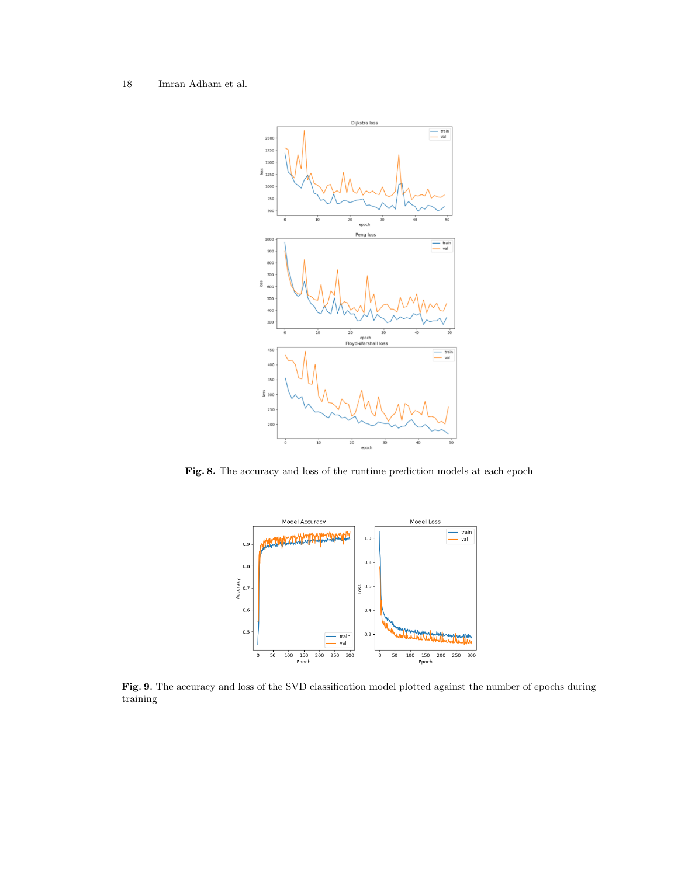

<span id="page-17-0"></span>Fig. 8. The accuracy and loss of the runtime prediction models at each epoch



<span id="page-17-1"></span>Fig. 9. The accuracy and loss of the SVD classification model plotted against the number of epochs during training